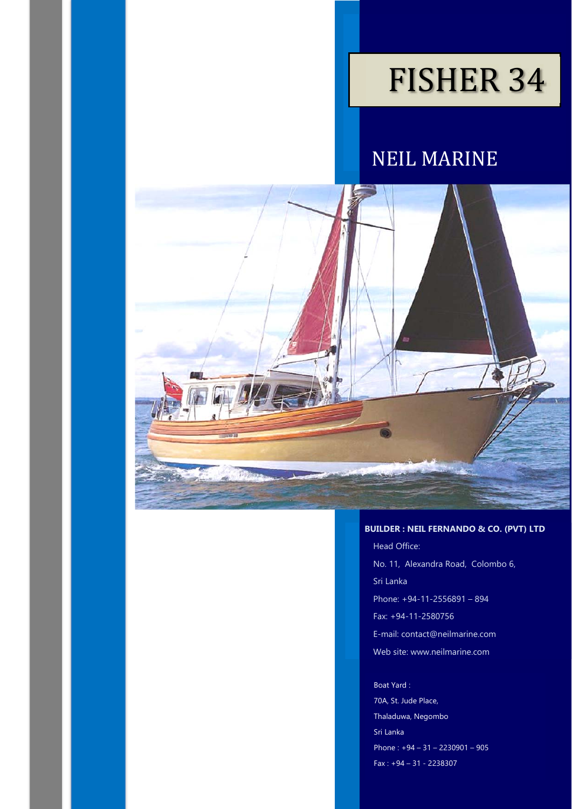# FISHER 34

NEIL MARINE



#### **BUILDER : NEIL FERNANDO & CO. (PVT) LTD**

Head Office: No. 11, Alexandra Road, Colombo 6, Sri Lanka Phone: +94-11-2556891 – 894 Fax: +94-11-2580756 E-mail: contact@neilmarine.com Web site: www.neilmarine.com

#### Boat Yard :

70A, St. Jude Place, Thaladuwa, Negombo Sri Lanka Phone : +94 – 31 – 2230901 – 905 Fax : +94 – 31 - 2238307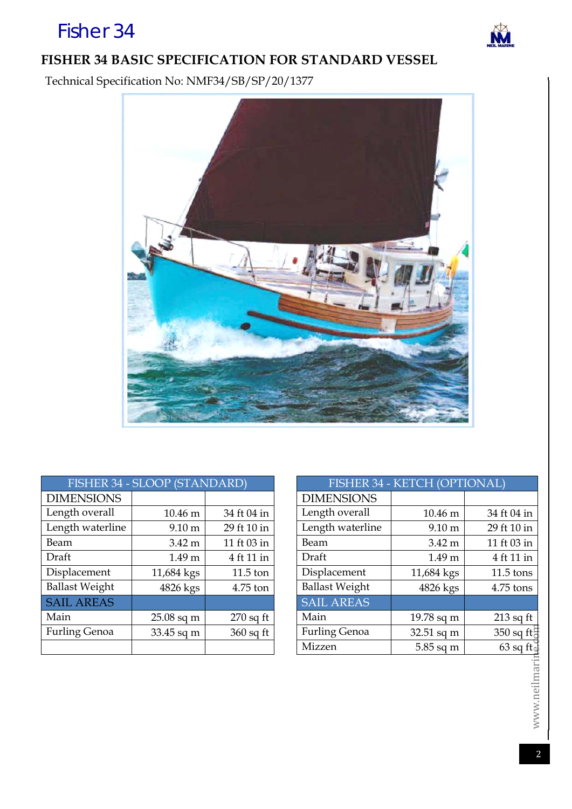# **FISHER 34 BASIC SPECIFICATION FOR STANDARD VESSEL**

Technical Specification No: NMF34/SB/SP/20/1377



| FISHER 34 - SLOOP (STANDARD) | <b>FISHER 3</b>   |             |                       |
|------------------------------|-------------------|-------------|-----------------------|
| <b>DIMENSIONS</b>            |                   |             | <b>DIMENSIONS</b>     |
| Length overall               | 10.46 m           | 34 ft 04 in | Length overall        |
| Length waterline             | $9.10 \text{ m}$  | 29 ft 10 in | Length waterline      |
| Beam                         | $3.42 \text{ m}$  | 11 ft 03 in | Beam                  |
| Draft                        | 1.49 <sub>m</sub> | 4 ft 11 in  | Draft                 |
| Displacement                 | 11,684 kgs        | $11.5$ ton  | Displacement          |
| <b>Ballast Weight</b>        | 4826 kgs          | 4.75 ton    | <b>Ballast Weight</b> |
| <b>SAIL AREAS</b>            |                   |             | <b>SAIL AREAS</b>     |
| Main                         | $25.08$ sq m      | $270$ sq ft | Main                  |
| <b>Furling Genoa</b>         | 33.45 sq m        | $360$ sq ft | <b>Furling Genoa</b>  |
|                              |                   |             | Mizzen                |

| FISHER 34 - SLOOP (STANDARD) |                   |             | FISHER 34 - KETCH (OPTIONAL) |                   |                           |
|------------------------------|-------------------|-------------|------------------------------|-------------------|---------------------------|
| <b>DIMENSIONS</b>            |                   |             | <b>DIMENSIONS</b>            |                   |                           |
| Length overall               | 10.46 m           | 34 ft 04 in | Length overall               | 10.46 m           | 34 ft 04 in               |
| Length waterline             | $9.10 \text{ m}$  | 29 ft 10 in | Length waterline             | $9.10 \text{ m}$  | 29 ft 10 in               |
| Beam                         | $3.42 \text{ m}$  | 11 ft 03 in | Beam                         | $3.42 \text{ m}$  | 11 ft 03 in               |
| Draft                        | 1.49 <sub>m</sub> | 4 ft 11 in  | Draft                        | 1.49 <sub>m</sub> | 4 ft 11 in                |
| Displacement                 | 11,684 kgs        | $11.5$ ton  | Displacement                 | 11,684 kgs        | $11.5$ tons               |
| <b>Ballast Weight</b>        | 4826 kgs          | 4.75 ton    | <b>Ballast Weight</b>        | 4826 kgs          | 4.75 tons                 |
| <b>SAIL AREAS</b>            |                   |             | <b>SAIL AREAS</b>            |                   |                           |
| Main                         | $25.08$ sq m      | $270$ sq ft | Main                         | $19.78$ sq m      | $213$ sq ft               |
| <b>Furling Genoa</b>         | 33.45 sq m        | $360$ sq ft | <b>Furling Genoa</b>         | 32.51 sq m        | $350$ sq ft $\frac{1}{6}$ |
|                              |                   |             | Mizzen                       | 5.85 sq m         | $63$ sq ft $\bar{d}$      |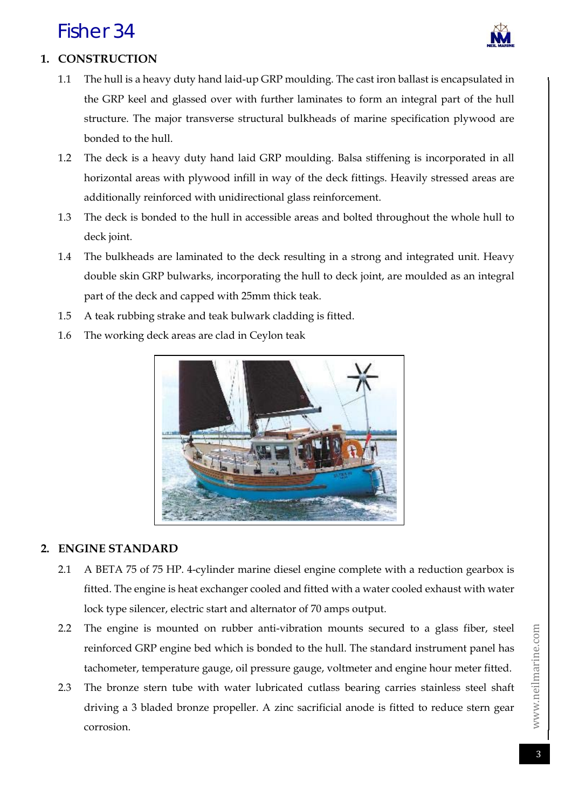

# **1. CONSTRUCTION**

- 1.1 The hull is a heavy duty hand laid-up GRP moulding. The cast iron ballast is encapsulated in the GRP keel and glassed over with further laminates to form an integral part of the hull structure. The major transverse structural bulkheads of marine specification plywood are bonded to the hull.
- 1.2 The deck is a heavy duty hand laid GRP moulding. Balsa stiffening is incorporated in all horizontal areas with plywood infill in way of the deck fittings. Heavily stressed areas are additionally reinforced with unidirectional glass reinforcement.
- 1.3 The deck is bonded to the hull in accessible areas and bolted throughout the whole hull to deck joint.
- 1.4 The bulkheads are laminated to the deck resulting in a strong and integrated unit. Heavy double skin GRP bulwarks, incorporating the hull to deck joint, are moulded as an integral part of the deck and capped with 25mm thick teak.
- 1.5 A teak rubbing strake and teak bulwark cladding is fitted.
- 1.6 The working deck areas are clad in Ceylon teak



#### **2. ENGINE STANDARD**

- 2.1 A BETA 75 of 75 HP. 4-cylinder marine diesel engine complete with a reduction gearbox is fitted. The engine is heat exchanger cooled and fitted with a water cooled exhaust with water lock type silencer, electric start and alternator of 70 amps output.
- 2.2 The engine is mounted on rubber anti-vibration mounts secured to a glass fiber, steel reinforced GRP engine bed which is bonded to the hull. The standard instrument panel has tachometer, temperature gauge, oil pressure gauge, voltmeter and engine hour meter fitted.
- 2.3 The bronze stern tube with water lubricated cutlass bearing carries stainless steel shaft driving a 3 bladed bronze propeller. A zinc sacrificial anode is fitted to reduce stern gear corrosion.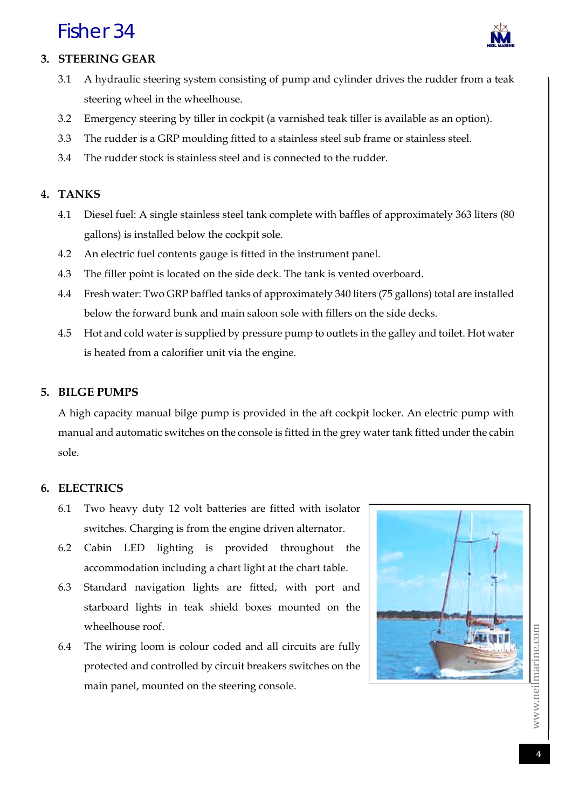

### **3. STEERING GEAR**

- 3.1 A hydraulic steering system consisting of pump and cylinder drives the rudder from a teak steering wheel in the wheelhouse.
- 3.2 Emergency steering by tiller in cockpit (a varnished teak tiller is available as an option).
- 3.3 The rudder is a GRP moulding fitted to a stainless steel sub frame or stainless steel.
- 3.4 The rudder stock is stainless steel and is connected to the rudder.

### **4. TANKS**

- 4.1 Diesel fuel: A single stainless steel tank complete with baffles of approximately 363 liters (80 gallons) is installed below the cockpit sole.
- 4.2 An electric fuel contents gauge is fitted in the instrument panel.
- 4.3 The filler point is located on the side deck. The tank is vented overboard.
- 4.4 Fresh water: Two GRP baffled tanks of approximately 340 liters (75 gallons) total are installed below the forward bunk and main saloon sole with fillers on the side decks.
- 4.5 Hot and cold water is supplied by pressure pump to outlets in the galley and toilet. Hot water is heated from a calorifier unit via the engine.

#### **5. BILGE PUMPS**

A high capacity manual bilge pump is provided in the aft cockpit locker. An electric pump with manual and automatic switches on the console is fitted in the grey water tank fitted under the cabin sole.

#### **6. ELECTRICS**

- 6.1 Two heavy duty 12 volt batteries are fitted with isolator switches. Charging is from the engine driven alternator.
- 6.2 Cabin LED lighting is provided throughout the accommodation including a chart light at the chart table.
- 6.3 Standard navigation lights are fitted, with port and starboard lights in teak shield boxes mounted on the wheelhouse roof.
- 6.4 The wiring loom is colour coded and all circuits are fully protected and controlled by circuit breakers switches on the main panel, mounted on the steering console.

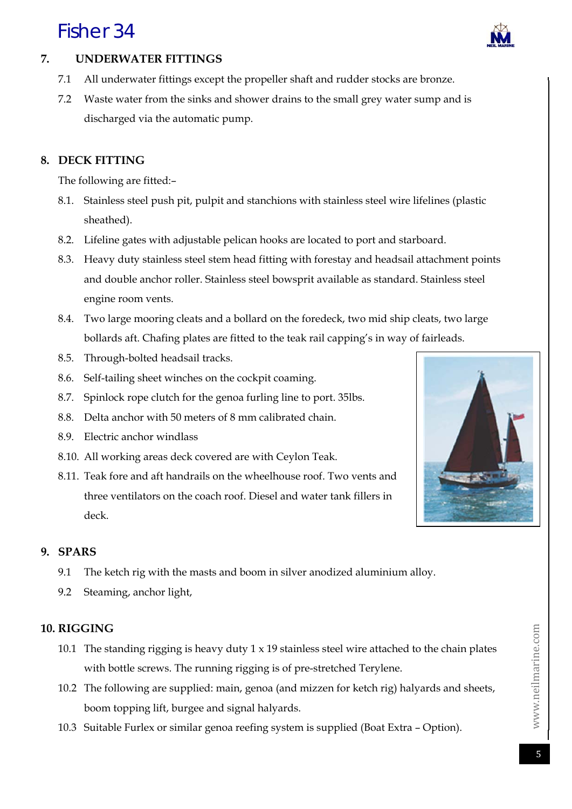

# **7. UNDERWATER FITTINGS**

- 7.1 All underwater fittings except the propeller shaft and rudder stocks are bronze.
- 7.2 Waste water from the sinks and shower drains to the small grey water sump and is discharged via the automatic pump.

## **8. DECK FITTING**

The following are fitted:–

- 8.1. Stainless steel push pit, pulpit and stanchions with stainless steel wire lifelines (plastic sheathed).
- 8.2. Lifeline gates with adjustable pelican hooks are located to port and starboard.
- 8.3. Heavy duty stainless steel stem head fitting with forestay and headsail attachment points and double anchor roller. Stainless steel bowsprit available as standard. Stainless steel engine room vents.
- 8.4. Two large mooring cleats and a bollard on the foredeck, two mid ship cleats, two large bollards aft. Chafing plates are fitted to the teak rail capping's in way of fairleads.
- 8.5. Through-bolted headsail tracks.
- 8.6. Self-tailing sheet winches on the cockpit coaming.
- 8.7. Spinlock rope clutch for the genoa furling line to port. 35lbs.
- 8.8. Delta anchor with 50 meters of 8 mm calibrated chain.
- 8.9. Electric anchor windlass
- 8.10. All working areas deck covered are with Ceylon Teak.
- 8.11. Teak fore and aft handrails on the wheelhouse roof. Two vents and three ventilators on the coach roof. Diesel and water tank fillers in deck.



### **9. SPARS**

- 9.1 The ketch rig with the masts and boom in silver anodized aluminium alloy.
- 9.2 Steaming, anchor light,

## **10. RIGGING**

- 10.1 The standing rigging is heavy duty  $1 \times 19$  stainless steel wire attached to the chain plates with bottle screws. The running rigging is of pre-stretched Terylene.
- 10.2 The following are supplied: main, genoa (and mizzen for ketch rig) halyards and sheets, boom topping lift, burgee and signal halyards.
- 10.3 Suitable Furlex or similar genoa reefing system is supplied (Boat Extra Option).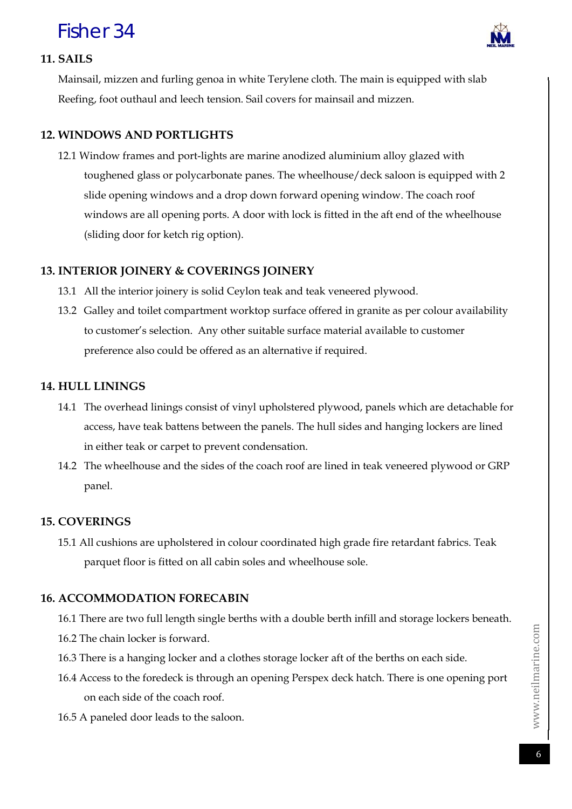

#### **11. SAILS**

Mainsail, mizzen and furling genoa in white Terylene cloth. The main is equipped with slab Reefing, foot outhaul and leech tension. Sail covers for mainsail and mizzen.

### **12. WINDOWS AND PORTLIGHTS**

12.1 Window frames and port-lights are marine anodized aluminium alloy glazed with toughened glass or polycarbonate panes. The wheelhouse/deck saloon is equipped with 2 slide opening windows and a drop down forward opening window. The coach roof windows are all opening ports. A door with lock is fitted in the aft end of the wheelhouse (sliding door for ketch rig option).

### **13. INTERIOR JOINERY & COVERINGS JOINERY**

- 13.1 All the interior joinery is solid Ceylon teak and teak veneered plywood.
- 13.2 Galley and toilet compartment worktop surface offered in granite as per colour availability to customer's selection. Any other suitable surface material available to customer preference also could be offered as an alternative if required.

### **14. HULL LININGS**

- 14.1 The overhead linings consist of vinyl upholstered plywood, panels which are detachable for access, have teak battens between the panels. The hull sides and hanging lockers are lined in either teak or carpet to prevent condensation.
- 14.2 The wheelhouse and the sides of the coach roof are lined in teak veneered plywood or GRP panel.

### **15. COVERINGS**

15.1 All cushions are upholstered in colour coordinated high grade fire retardant fabrics. Teak parquet floor is fitted on all cabin soles and wheelhouse sole.

### **16. ACCOMMODATION FORECABIN**

16.1 There are two full length single berths with a double berth infill and storage lockers beneath. 16.2 The chain locker is forward.

- 16.3 There is a hanging locker and a clothes storage locker aft of the berths on each side.
- 16.4 Access to the foredeck is through an opening Perspex deck hatch. There is one opening port on each side of the coach roof.
- 16.5 A paneled door leads to the saloon.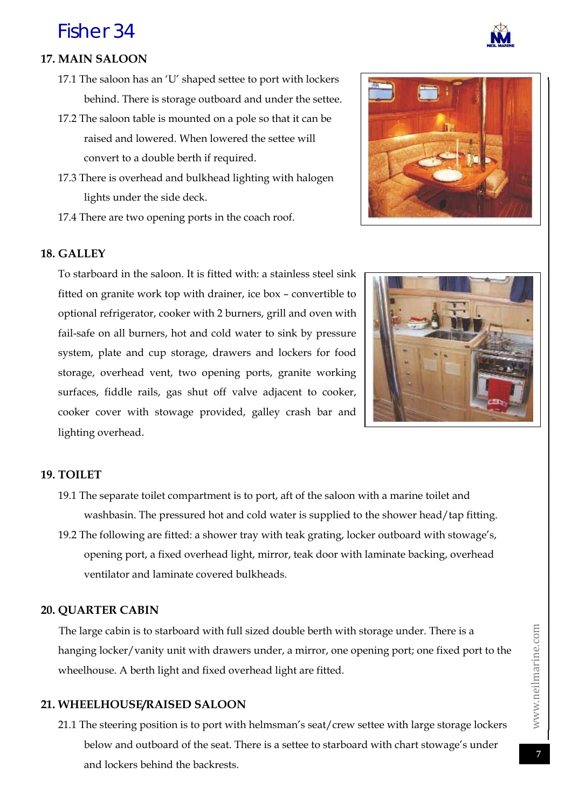

### **17. MAIN SALOON**

- 17.1 The saloon has an 'U' shaped settee to port with lockers behind. There is storage outboard and under the settee.
- 17.2 The saloon table is mounted on a pole so that it can be raised and lowered. When lowered the settee will convert to a double berth if required.
- 17.3 There is overhead and bulkhead lighting with halogen lights under the side deck.
- 17.4 There are two opening ports in the coach roof.

#### **18. GALLEY**

To starboard in the saloon. It is fitted with: a stainless steel sink fitted on granite work top with drainer, ice box – convertible to optional refrigerator, cooker with 2 burners, grill and oven with fail-safe on all burners, hot and cold water to sink by pressure system, plate and cup storage, drawers and lockers for food storage, overhead vent, two opening ports, granite working surfaces, fiddle rails, gas shut off valve adjacent to cooker, cooker cover with stowage provided, galley crash bar and lighting overhead.



#### **19. TOILET**

- 19.1 The separate toilet compartment is to port, aft of the saloon with a marine toilet and washbasin. The pressured hot and cold water is supplied to the shower head/tap fitting.
- 19.2 The following are fitted: a shower tray with teak grating, locker outboard with stowage's, opening port, a fixed overhead light, mirror, teak door with laminate backing, overhead ventilator and laminate covered bulkheads.

#### **20. QUARTER CABIN**

The large cabin is to starboard with full sized double berth with storage under. There is a hanging locker/vanity unit with drawers under, a mirror, one opening port; one fixed port to the wheelhouse. A berth light and fixed overhead light are fitted.

#### **21. WHEELHOUSE/RAISED SALOON**

21.1 The steering position is to port with helmsman's seat/crew settee with large storage lockers below and outboard of the seat. There is a settee to starboard with chart stowage's under and lockers behind the backrests.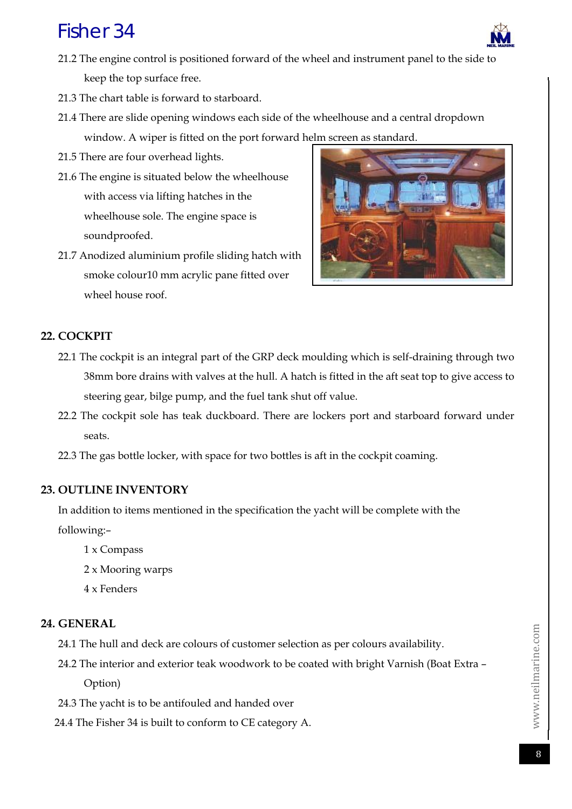

- 21.3 The chart table is forward to starboard.
- 21.4 There are slide opening windows each side of the wheelhouse and a central dropdown window. A wiper is fitted on the port forward helm screen as standard.
- 21.5 There are four overhead lights.
- 21.6 The engine is situated below the wheelhouse with access via lifting hatches in the wheelhouse sole. The engine space is soundproofed.
- 21.7 Anodized aluminium profile sliding hatch with smoke colour10 mm acrylic pane fitted over wheel house roof.



### **22. COCKPIT**

- 22.1 The cockpit is an integral part of the GRP deck moulding which is self-draining through two 38mm bore drains with valves at the hull. A hatch is fitted in the aft seat top to give access to steering gear, bilge pump, and the fuel tank shut off value.
- 22.2 The cockpit sole has teak duckboard. There are lockers port and starboard forward under seats.
- 22.3 The gas bottle locker, with space for two bottles is aft in the cockpit coaming.

#### **23. OUTLINE INVENTORY**

In addition to items mentioned in the specification the yacht will be complete with the following:–

- 1 x Compass
- 2 x Mooring warps
- 4 x Fenders

#### **24. GENERAL**

- 24.1 The hull and deck are colours of customer selection as per colours availability.
- 24.2 The interior and exterior teak woodwork to be coated with bright Varnish (Boat Extra Option)
- 24.3 The yacht is to be antifouled and handed over
- 24.4 The Fisher 34 is built to conform to CE category A.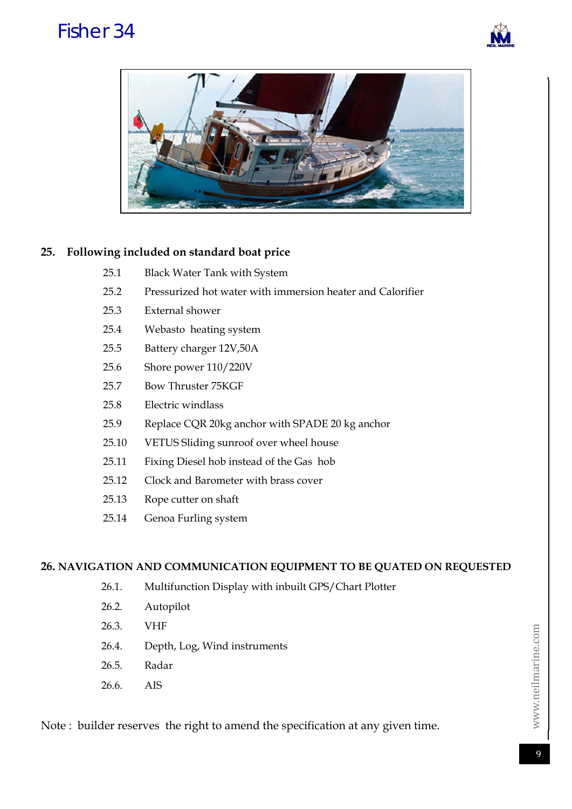



### **25. Following included on standard boat price**

| 25.1 |  |  | <b>Black Water Tank with System</b> |
|------|--|--|-------------------------------------|
|      |  |  |                                     |

- 25.2 Pressurized hot water with immersion heater and Calorifier
- 25.3 External shower
- 25.4 Webasto heating system
- 25.5 Battery charger 12V,50A
- 25.6 Shore power 110/220V
- 25.7 Bow Thruster 75KGF
- 25.8 Electric windlass
- 25.9 Replace CQR 20kg anchor with SPADE 20 kg anchor
- 25.10 VETUS Sliding sunroof over wheel house
- 25.11 Fixing Diesel hob instead of the Gas hob
- 25.12 Clock and Barometer with brass cover
- 25.13 Rope cutter on shaft
- 25.14 Genoa Furling system

#### **26. NAVIGATION AND COMMUNICATION EQUIPMENT TO BE QUATED ON REQUESTED**

- 26.1. Multifunction Display with inbuilt GPS/Chart Plotter
- 26.2. Autopilot
- 26.3. VHF
- 26.4. Depth, Log, Wind instruments
- 26.5. Radar
- 26.6. AIS

Note : builder reserves the right to amend the specification at any given time.